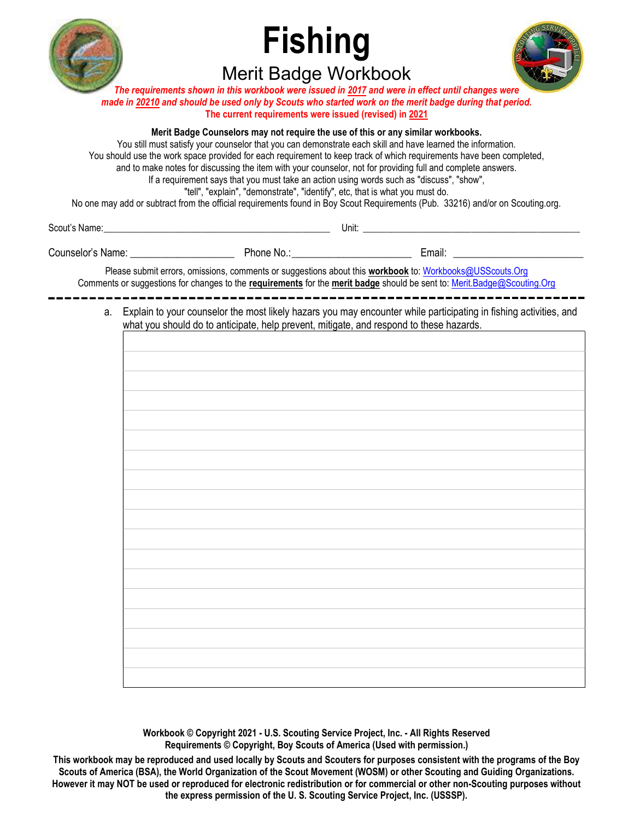

# Fishing Merit Badge Workbook



The requirements shown in this workbook were issued in 2017 and were in effect until changes were made in 20210 and should be used only by Scouts who started work on the merit badge during that period. The current requirements were issued (revised) in 2021

#### Merit Badge Counselors may not require the use of this or any similar workbooks.

You still must satisfy your counselor that you can demonstrate each skill and have learned the information. You should use the work space provided for each requirement to keep track of which requirements have been completed, and to make notes for discussing the item with your counselor, not for providing full and complete answers. If a requirement says that you must take an action using words such as "discuss", "show", "tell", "explain", "demonstrate", "identify", etc, that is what you must do. No one may add or subtract from the official requirements found in Boy Scout Requirements (Pub. 33216) and/or on Scouting.org.

Scout's Name: \_\_\_\_\_\_\_\_\_\_\_\_\_\_\_\_\_\_\_\_\_\_\_\_\_\_\_\_\_\_\_\_\_\_\_\_\_\_\_\_\_\_\_\_\_\_\_\_ Unit: \_\_\_\_\_\_\_\_\_\_\_\_\_\_\_\_\_\_\_\_\_\_\_\_\_\_\_\_\_\_\_\_\_\_\_\_\_\_\_\_\_\_\_\_\_\_

Counselor's Name: \_\_\_\_\_\_\_\_\_\_\_\_\_\_\_\_\_\_\_\_ Phone No.: \_\_\_\_\_\_\_\_\_\_\_\_\_\_\_\_\_\_\_\_\_\_\_ Email: \_\_\_\_\_\_\_\_\_\_\_\_\_\_\_\_\_\_\_\_\_\_\_\_\_

Please submit errors, omissions, comments or suggestions about this **workbook** to: Workbooks@USScouts.Org Comments or suggestions for changes to the requirements for the merit badge should be sent to: Merit.Badge@Scouting.Org

 a. Explain to your counselor the most likely hazars you may encounter while participating in fishing activities, and what you should do to anticipate, help prevent, mitigate, and respond to these hazards.

Workbook © Copyright 2021 - U.S. Scouting Service Project, Inc. - All Rights Reserved Requirements © Copyright, Boy Scouts of America (Used with permission.)

This workbook may be reproduced and used locally by Scouts and Scouters for purposes consistent with the programs of the Boy Scouts of America (BSA), the World Organization of the Scout Movement (WOSM) or other Scouting and Guiding Organizations. However it may NOT be used or reproduced for electronic redistribution or for commercial or other non-Scouting purposes without the express permission of the U. S. Scouting Service Project, Inc. (USSSP).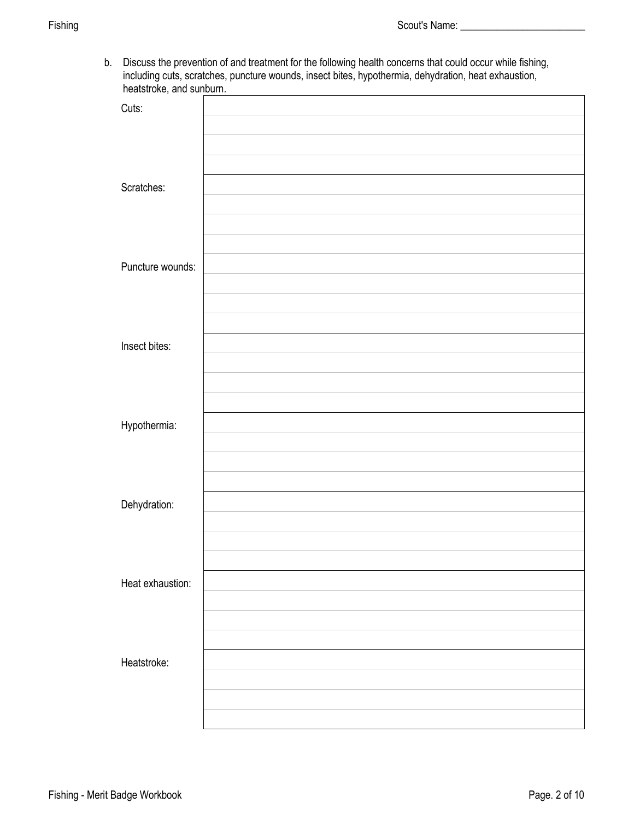b. Discuss the prevention of and treatment for the following health concerns that could occur while fishing, including cuts, scratches, puncture wounds, insect bites, hypothermia, dehydration, heat exhaustion, heatstroke, and sunburn.

| $\ddotsc$<br>Cuts: |  |
|--------------------|--|
|                    |  |
|                    |  |
|                    |  |
| Scratches:         |  |
|                    |  |
|                    |  |
| Puncture wounds:   |  |
|                    |  |
|                    |  |
|                    |  |
| Insect bites:      |  |
|                    |  |
|                    |  |
| Hypothermia:       |  |
|                    |  |
|                    |  |
|                    |  |
| Dehydration:       |  |
|                    |  |
|                    |  |
| Heat exhaustion:   |  |
|                    |  |
|                    |  |
| Heatstroke:        |  |
|                    |  |
|                    |  |
|                    |  |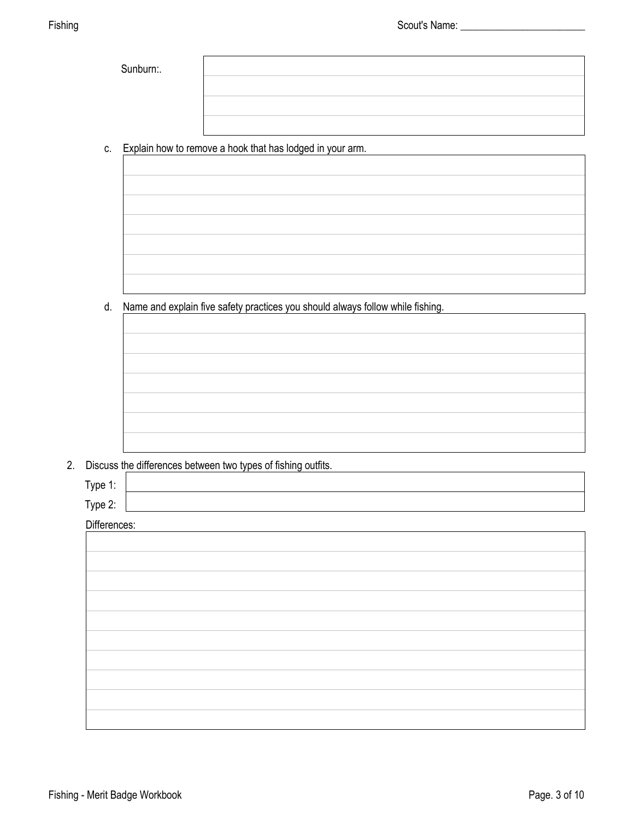|  | c. Explain how to remove a hook that has lodged in your arm. |  |
|--|--------------------------------------------------------------|--|

d. Name and explain five safety practices you should always follow while fishing.



2. Discuss the differences between two types of fishing outfits.

| Type 1: |
|---------|
|---------|

Type 2:

Differences:

| <b>DIIIAIAIICAS.</b> |  |
|----------------------|--|
|                      |  |
|                      |  |
|                      |  |
|                      |  |
|                      |  |
|                      |  |
|                      |  |
|                      |  |
|                      |  |
|                      |  |
|                      |  |
|                      |  |
|                      |  |
|                      |  |
|                      |  |
|                      |  |
|                      |  |
|                      |  |
|                      |  |
|                      |  |
|                      |  |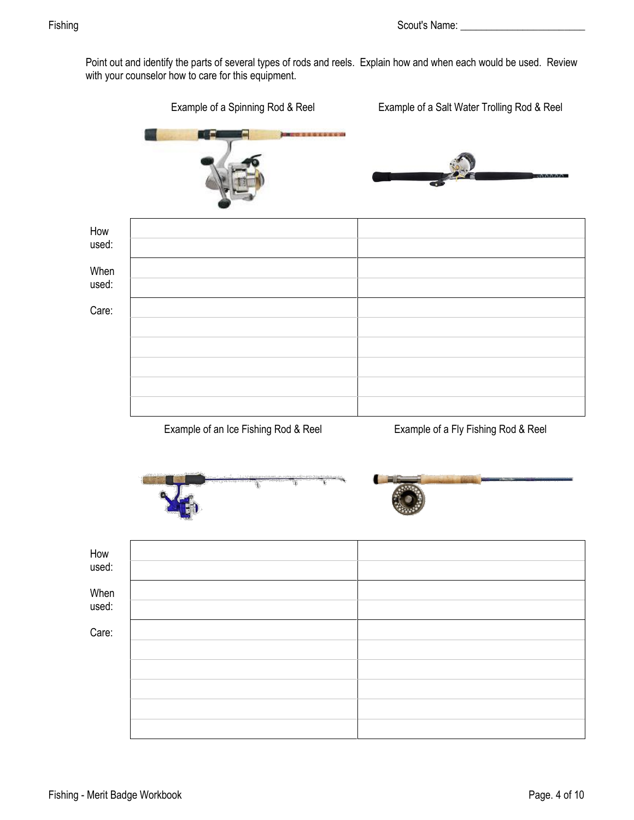Point out and identify the parts of several types of rods and reels. Explain how and when each would be used. Review with your counselor how to care for this equipment.

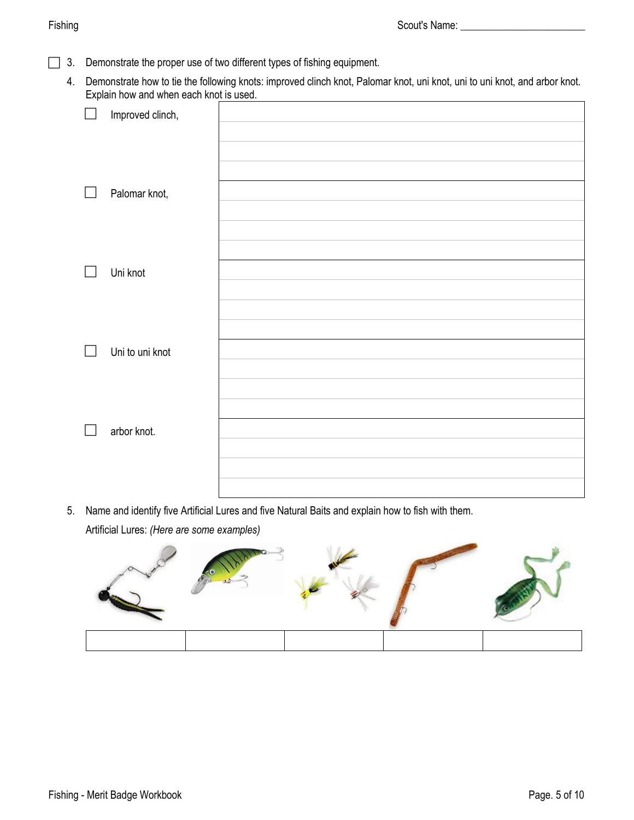- 3. Demonstrate the proper use of two different types of fishing equipment.
	- 4. Demonstrate how to tie the following knots: improved clinch knot, Palomar knot, uni knot, uni to uni knot, and arbor knot. Explain how and when each knot is used.

| $\Box$ | Improved clinch, |  |
|--------|------------------|--|
|        |                  |  |
|        |                  |  |
|        |                  |  |
| $\Box$ | Palomar knot,    |  |
|        |                  |  |
|        |                  |  |
|        |                  |  |
| $\Box$ | Uni knot         |  |
|        |                  |  |
|        |                  |  |
|        |                  |  |
| $\Box$ | Uni to uni knot  |  |
|        |                  |  |
|        |                  |  |
|        |                  |  |
| $\Box$ | arbor knot.      |  |
|        |                  |  |
|        |                  |  |
|        |                  |  |

5. Name and identify five Artificial Lures and five Natural Baits and explain how to fish with them. Artificial Lures: *(Here are some examples)*

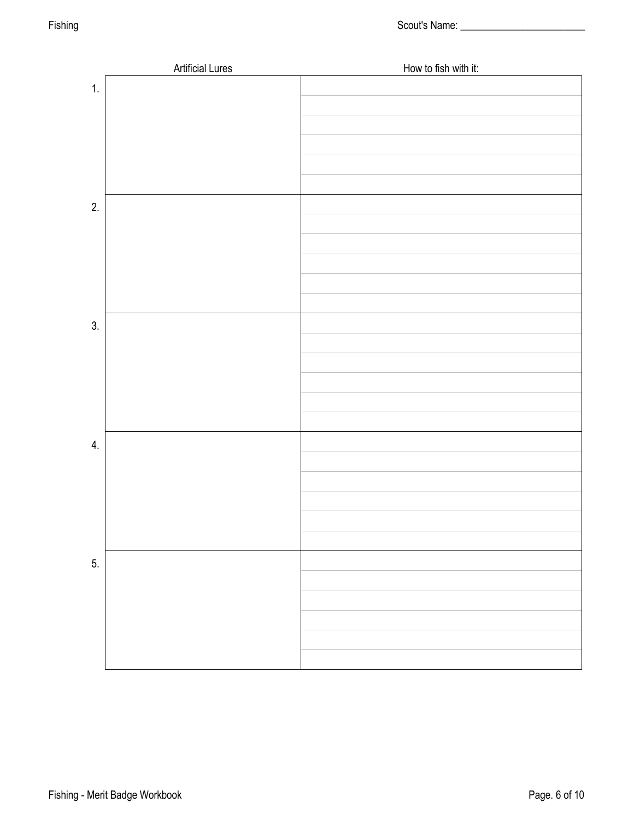|    | <b>Artificial Lures</b> | How to fish with it: |
|----|-------------------------|----------------------|
| 1. |                         |                      |
|    |                         |                      |
|    |                         |                      |
|    |                         |                      |
|    |                         |                      |
|    |                         |                      |
|    |                         |                      |
| 2. |                         |                      |
|    |                         |                      |
|    |                         |                      |
|    |                         |                      |
|    |                         |                      |
|    |                         |                      |
| 3. |                         |                      |
|    |                         |                      |
|    |                         |                      |
|    |                         |                      |
|    |                         |                      |
|    |                         |                      |
|    |                         |                      |
| 4. |                         |                      |
|    |                         |                      |
|    |                         |                      |
|    |                         |                      |
|    |                         |                      |
|    |                         |                      |
|    |                         |                      |
| 5. |                         |                      |
|    |                         |                      |
|    |                         |                      |
|    |                         |                      |
|    |                         |                      |
|    |                         |                      |
|    |                         |                      |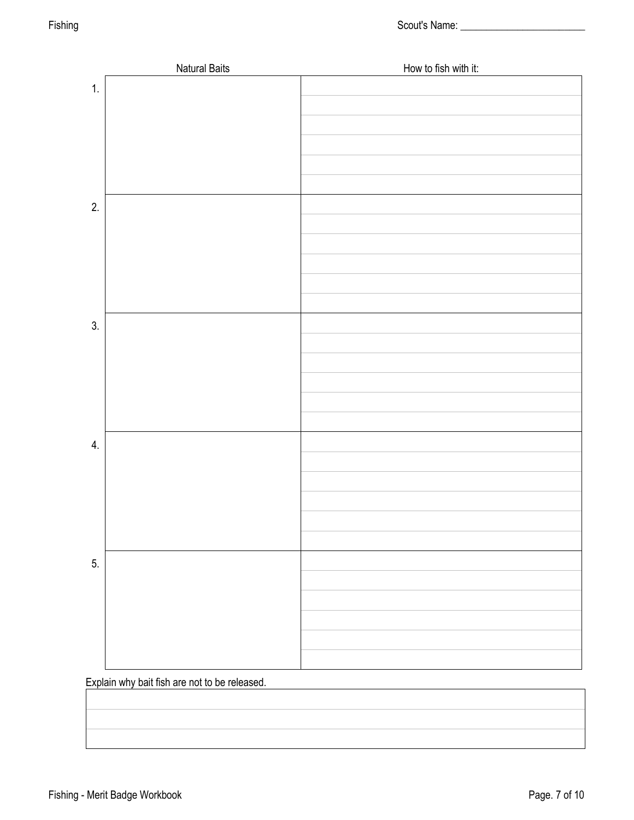|    | <b>Natural Baits</b> | How to fish with it: |
|----|----------------------|----------------------|
| 1. |                      |                      |
|    |                      |                      |
|    |                      |                      |
|    |                      |                      |
|    |                      |                      |
|    |                      |                      |
|    |                      |                      |
| 2. |                      |                      |
|    |                      |                      |
|    |                      |                      |
|    |                      |                      |
|    |                      |                      |
|    |                      |                      |
|    |                      |                      |
| 3. |                      |                      |
|    |                      |                      |
|    |                      |                      |
|    |                      |                      |
|    |                      |                      |
|    |                      |                      |
|    |                      |                      |
| 4. |                      |                      |
|    |                      |                      |
|    |                      |                      |
|    |                      |                      |
|    |                      |                      |
|    |                      |                      |
|    |                      |                      |
| 5. |                      |                      |
|    |                      |                      |
|    |                      |                      |
|    |                      |                      |
|    |                      |                      |
|    |                      |                      |
|    |                      |                      |

Explain why bait fish are not to be released.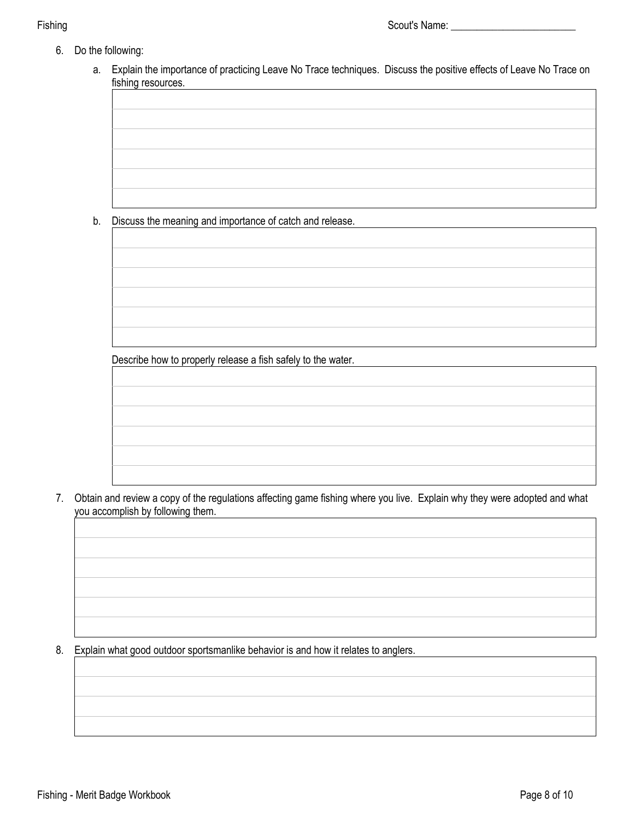- 6. Do the following:
	- a. Explain the importance of practicing Leave No Trace techniques. Discuss the positive effects of Leave No Trace on fishing resources.

b. Discuss the meaning and importance of catch and release.

Describe how to properly release a fish safely to the water.

 7. Obtain and review a copy of the regulations affecting game fishing where you live. Explain why they were adopted and what you accomplish by following them.

8. Explain what good outdoor sportsmanlike behavior is and how it relates to anglers.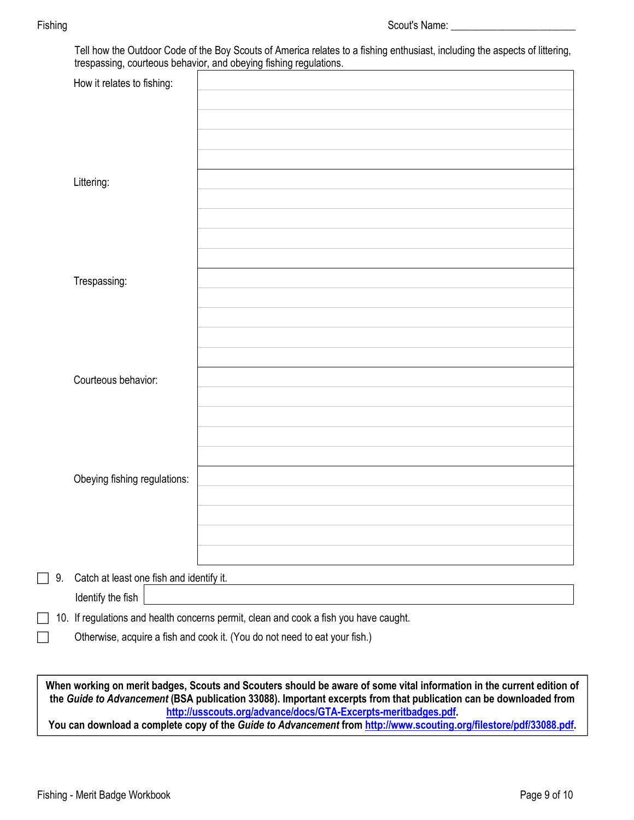| How it relates to fishing:               |                                                                                       |
|------------------------------------------|---------------------------------------------------------------------------------------|
|                                          |                                                                                       |
|                                          |                                                                                       |
|                                          |                                                                                       |
|                                          |                                                                                       |
|                                          |                                                                                       |
| Littering:                               |                                                                                       |
|                                          |                                                                                       |
|                                          |                                                                                       |
|                                          |                                                                                       |
|                                          |                                                                                       |
|                                          |                                                                                       |
| Trespassing:                             |                                                                                       |
|                                          |                                                                                       |
|                                          |                                                                                       |
|                                          |                                                                                       |
|                                          |                                                                                       |
|                                          |                                                                                       |
| Courteous behavior:                      |                                                                                       |
|                                          |                                                                                       |
|                                          |                                                                                       |
|                                          |                                                                                       |
|                                          |                                                                                       |
|                                          |                                                                                       |
| Obeying fishing regulations:             |                                                                                       |
|                                          |                                                                                       |
|                                          |                                                                                       |
|                                          |                                                                                       |
|                                          |                                                                                       |
|                                          |                                                                                       |
| Catch at least one fish and identify it. |                                                                                       |
| Identify the fish                        |                                                                                       |
|                                          | 10. If regulations and health concerns permit, clean and cook a fish you have caught. |
|                                          | Otherwise, acquire a fish and cook it. (You do not need to eat your fish.)            |

**When working on merit badges, Scouts and Scouters should be aware of some vital information in the current edition of the** *Guide to Advancement* **(BSA publication 33088). Important excerpts from that publication can be downloaded from <http://usscouts.org/advance/docs/GTA-Excerpts-meritbadges.pdf>.** 

**You can download a complete copy of the** *Guide to Advancement* **from <http://www.scouting.org/filestore/pdf/33088.pdf>.**